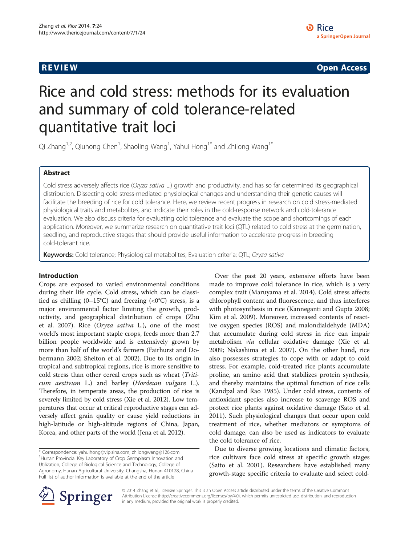**REVIEW REVIEW CONSTRUCTER ACCESS** 

# Rice and cold stress: methods for its evaluation and summary of cold tolerance-related quantitative trait loci

Qi Zhang<sup>1,2</sup>, Qiuhong Chen<sup>1</sup>, Shaoling Wang<sup>1</sup>, Yahui Hong<sup>1\*</sup> and Zhilong Wang<sup>1\*</sup>

# Abstract

Cold stress adversely affects rice (Oryza sativa L.) growth and productivity, and has so far determined its geographical distribution. Dissecting cold stress-mediated physiological changes and understanding their genetic causes will facilitate the breeding of rice for cold tolerance. Here, we review recent progress in research on cold stress-mediated physiological traits and metabolites, and indicate their roles in the cold-response network and cold-tolerance evaluation. We also discuss criteria for evaluating cold tolerance and evaluate the scope and shortcomings of each application. Moreover, we summarize research on quantitative trait loci (QTL) related to cold stress at the germination, seedling, and reproductive stages that should provide useful information to accelerate progress in breeding cold-tolerant rice.

Keywords: Cold tolerance; Physiological metabolites; Evaluation criteria; QTL; Oryza sativa

#### Introduction

Crops are exposed to varied environmental conditions during their life cycle. Cold stress, which can be classified as chilling  $(0-15^{\circ}C)$  and freezing  $( $0^{\circ}C$ )$  stress, is a major environmental factor limiting the growth, productivity, and geographical distribution of crops (Zhu et al. [2007\)](#page-11-0). Rice (Oryza sativa L.), one of the most world's most important staple crops, feeds more than 2.7 billion people worldwide and is extensively grown by more than half of the world's farmers (Fairhurst and Dobermann [2002;](#page-10-0) Shelton et al. [2002](#page-11-0)). Due to its origin in tropical and subtropical regions, rice is more sensitive to cold stress than other cereal crops such as wheat (Triticum aestivum L.) and barley (Hordeum vulgare L.). Therefore, in temperate areas, the production of rice is severely limited by cold stress (Xie et al. [2012\)](#page-11-0). Low temperatures that occur at critical reproductive stages can adversely affect grain quality or cause yield reductions in high-latitude or high-altitude regions of China, Japan, Korea, and other parts of the world (Jena et al. [2012\)](#page-10-0).

\* Correspondence: [yahuihong@vip.sina.com;](mailto:yahuihong@vip.sina.com) [zhilongwang@126.com](mailto:zhilongwang@126.com) <sup>1</sup> <sup>1</sup>Hunan Provincial Key Laboratory of Crop Germplasm Innovation and Utilization, College of Biological Science and Technology, College of Agronomy, Hunan Agricultural University, Changsha, Hunan 410128, China Full list of author information is available at the end of the article

Over the past 20 years, extensive efforts have been made to improve cold tolerance in rice, which is a very complex trait (Maruyama et al. [2014\)](#page-10-0). Cold stress affects chlorophyll content and fluorescence, and thus interferes with photosynthesis in rice (Kanneganti and Gupta [2008](#page-10-0); Kim et al. [2009](#page-10-0)). Moreover, increased contents of reactive oxygen species (ROS) and malondialdehyde (MDA) that accumulate during cold stress in rice can impair metabolism via cellular oxidative damage (Xie et al. [2009](#page-11-0); Nakashima et al. [2007\)](#page-10-0). On the other hand, rice also possesses strategies to cope with or adapt to cold stress. For example, cold-treated rice plants accumulate proline, an amino acid that stabilizes protein synthesis, and thereby maintains the optimal function of rice cells (Kandpal and Rao [1985](#page-10-0)). Under cold stress, contents of antioxidant species also increase to scavenge ROS and protect rice plants against oxidative damage (Sato et al. [2011](#page-11-0)). Such physiological changes that occur upon cold treatment of rice, whether mediators or symptoms of cold damage, can also be used as indicators to evaluate the cold tolerance of rice.

Due to diverse growing locations and climatic factors, rice cultivars face cold stress at specific growth stages (Saito et al. [2001](#page-11-0)). Researchers have established many growth-stage specific criteria to evaluate and select cold-



© 2014 Zhang et al.; licensee Springer. This is an Open Access article distributed under the terms of the Creative Commons Attribution License [\(http://creativecommons.org/licenses/by/4.0\)](http://creativecommons.org/licenses/by/4.0), which permits unrestricted use, distribution, and reproduction in any medium, provided the original work is properly credited.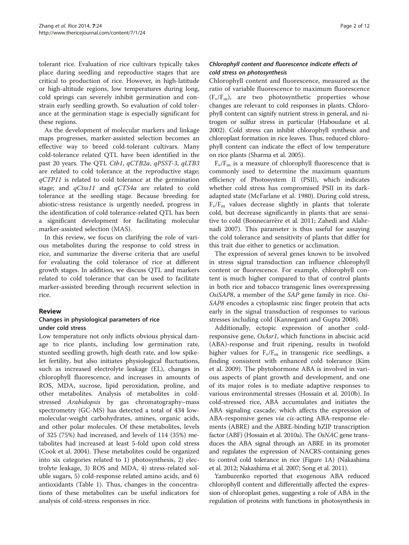tolerant rice. Evaluation of rice cultivars typically takes place during seedling and reproductive stages that are critical to production of rice. However, in high-latitude or high-altitude regions, low temperatures during long, cold springs can severely inhibit germination and constrain early seedling growth. So evaluation of cold tolerance at the germination stage is especially significant for these regions.

As the development of molecular markers and linkage maps progresses, marker-assisted selection becomes an effective way to breed cold-tolerant cultivars. Many cold-tolerance related QTL have been identified in the past 20 years. The OTL Ctb1, *qCTB2a*, *qPSST-3*, *qLTB3* are related to cold tolerance at the reproductive stage; qCTP11 is related to cold tolerance at the germination stage; and *qCtss11* and *qCTS4a* are related to cold tolerance at the seedling stage. Because breeding for abiotic-stress resistance is urgently needed, progress in the identification of cold tolerance-related QTL has been a significant development for facilitating molecular marker-assisted selection (MAS).

In this review, we focus on clarifying the role of various metabolites during the response to cold stress in rice, and summarize the diverse criteria that are useful for evaluating the cold tolerance of rice at different growth stages. In addition, we discuss QTL and markers related to cold tolerance that can be used to facilitate marker-assisted breeding through recurrent selection in rice.

#### Review

# Changes in physiological parameters of rice under cold stress

Low temperature not only inflicts obvious physical damage to rice plants, including low germination rate, stunted seedling growth, high death rate, and low spikelet fertility, but also initiates physiological fluctuations, such as increased electrolyte leakage (EL), changes in chlorophyll fluorescence, and increases in amounts of ROS, MDA, sucrose, lipid peroxidation, proline, and other metabolites. Analysis of metabolites in coldstressed Arabidopsis by gas chromatography–mass spectrometry (GC-MS) has detected a total of 434 lowmolecular-weight carbohydrates, amines, organic acids, and other polar molecules. Of these metabolites, levels of 325 (75%) had increased, and levels of 114 (35%) metabolites had increased at least 5-fold upon cold stress (Cook et al. [2004](#page-10-0)). These metabolites could be organized into six categories related to 1) photosynthesis, 2) electrolyte leakage, 3) ROS and MDA, 4) stress-related soluble sugars, 5) cold-response related amino acids, and 6) antioxidants (Table [1\)](#page-2-0). Thus, changes in the concentrations of these metabolites can be useful indicators for analysis of cold-stress responses in rice.

# Chlorophyll content and fluorescence indicate effects of cold stress on photosynthesis

Chlorophyll content and fluorescence, measured as the ratio of variable fluorescence to maximum fluorescence  $(F_v/F_m)$ , are two photosynthetic properties whose changes are relevant to cold responses in plants. Chlorophyll content can signify nutrient stress in general, and nitrogen or sulfur stress in particular (Haboudane et al. [2002](#page-10-0)). Cold stress can inhibit chlorophyll synthesis and chloroplast formation in rice leaves. Thus, reduced chlorophyll content can indicate the effect of low temperature on rice plants (Sharma et al. [2005\)](#page-11-0).

 $F_v/F_m$  is a measure of chlorophyll fluorescence that is commonly used to determine the maximum quantum efficiency of Photosystem II (PSII), which indicates whether cold stress has compromised PSII in its darkadapted state (McFarlane et al. [1980](#page-10-0)). During cold stress,  $F_v/F_m$  values decrease slightly in plants that tolerate cold, but decrease significantly in plants that are sensitive to cold (Bonnecarrère et al. [2011;](#page-9-0) Zahedi and Alahrnadi [2007\)](#page-11-0). This parameter is thus useful for assaying the cold tolerance and sensitivity of plants that differ for this trait due either to genetics or acclimation.

The expression of several genes known to be involved in stress signal transduction can influence chlorophyll content or fluorescence. For example, chlorophyll content is much higher compared to that of control plants in both rice and tobacco transgenic lines overexpressing OsiSAP8, a member of the SAP gene family in rice. Osi-SAP8 encodes a cytoplasmic zinc finger protein that acts early in the signal transduction of responses to various stresses including cold (Kanneganti and Gupta [2008](#page-10-0)).

Additionally, ectopic expression of another coldresponsive gene, OsAsr1, which functions in abscisic acid (ABA)-response and fruit ripening, results in twofold higher values for  $F_v/F_m$  in transgenic rice seedlings, a finding consistent with enhanced cold tolerance (Kim et al. [2009](#page-10-0)). The phytohormone ABA is involved in various aspects of plant growth and development, and one of its major roles is to mediate adaptive responses to various environmental stresses (Hossain et al. [2010b](#page-10-0)). In cold-stressed rice, ABA accumulates and initiates the ABA signaling cascade, which affects the expression of ABA-responsive genes *via cis*-acting ABA-response elements (ABRE) and the ABRE-binding bZIP transcription factor (ABF) (Hossain et al. [2010a\)](#page-10-0). The OsNAC gene transduces the ABA signal through an ABRE in its promoter and regulates the expression of NACRS-containing genes to control cold tolerance in rice (Figure [1A](#page-3-0)) (Nakashima et al. [2012;](#page-10-0) Nakashima et al. [2007;](#page-10-0) Song et al. [2011](#page-11-0)).

Yamburenko reported that exogenous ABA reduced chlorophyll content and differentially affected the expression of chloroplast genes, suggesting a role of ABA in the regulation of proteins with functions in photosynthesis in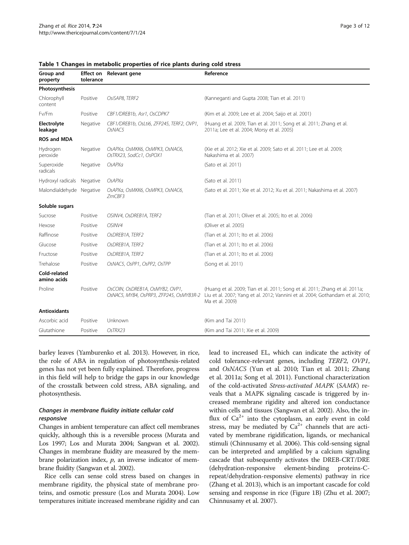| Group and<br>property       | tolerance | Effect on Relevant gene                                    | Reference                                                                                                                                                                                                                |  |
|-----------------------------|-----------|------------------------------------------------------------|--------------------------------------------------------------------------------------------------------------------------------------------------------------------------------------------------------------------------|--|
| Photosynthesis              |           |                                                            |                                                                                                                                                                                                                          |  |
| Chlorophyll<br>content      | Positive  | OsiSAP8, TERF2                                             | (Kanneganti and Gupta 2008; Tian et al. 2011)                                                                                                                                                                            |  |
| Fv/Fm                       | Positive  | CBF1/DREB1b, Asr1, OsCDPK7                                 | (Kim et al. 2009; Lee et al. 2004; Saijo et al. 2001)                                                                                                                                                                    |  |
| Electrolyte<br>leakage      | Negative  | CBF1/DREB1b, OsLti6, ZFP245, TERF2, OVP1,<br>OsNAC5        | (Huang et al. 2009; Tian et al. 2011; Song et al. 2011; Zhang et al.<br>2011a; Lee et al. 2004; Morsy et al. 2005)                                                                                                       |  |
| <b>ROS and MDA</b>          |           |                                                            |                                                                                                                                                                                                                          |  |
| Hydrogen<br>peroxide        | Negative  | OsAPXa, OsMKK6, OsMPK3, OsNAC6,<br>OsTRX23, SodCc1, OsPOX1 | (Xie et al. 2012; Xie et al. 2009; Sato et al. 2011; Lee et al. 2009;<br>Nakashima et al. 2007)                                                                                                                          |  |
| Superoxide<br>radicals      | Negative  | <b>OsAPXa</b>                                              | (Sato et al. 2011)                                                                                                                                                                                                       |  |
| Hydroxyl radicals           | Negative  | OsAPXa                                                     | (Sato et al. 2011)                                                                                                                                                                                                       |  |
| Malondialdehyde Negative    |           | OsAPXa, OsMKK6, OsMPK3, OsNAC6,<br>ZmCBF3                  | (Sato et al. 2011; Xie et al. 2012; Xu et al. 2011; Nakashima et al. 2007)                                                                                                                                               |  |
| Soluble sugars              |           |                                                            |                                                                                                                                                                                                                          |  |
| Sucrose                     | Positive  | OSINV4, OsDREB1A, TERF2                                    | (Tian et al. 2011; Oliver et al. 2005; Ito et al. 2006)                                                                                                                                                                  |  |
| Hexose                      | Positive  | OSINV4                                                     | (Oliver et al. 2005)                                                                                                                                                                                                     |  |
| Raffinose                   | Positive  | OsDREB1A, TERF2                                            | (Tian et al. 2011; Ito et al. 2006)                                                                                                                                                                                      |  |
| Glucose                     | Positive  | OsDREB1A, TERF2                                            | (Tian et al. 2011; Ito et al. 2006)                                                                                                                                                                                      |  |
| Fructose                    | Positive  | OsDREB1A, TERF2                                            | (Tian et al. 2011; Ito et al. 2006)                                                                                                                                                                                      |  |
| Trehalose                   | Positive  | OsNAC5, OsPP1, OsPP2, OsTPP                                | (Song et al. 2011)                                                                                                                                                                                                       |  |
| Cold-related<br>amino acids |           |                                                            |                                                                                                                                                                                                                          |  |
| Proline                     | Positive  | OsCOIN, OsDREB1A, OsMYB2, OVP1,                            | (Huang et al. 2009; Tian et al. 2011; Song et al. 2011; Zhang et al. 2011a;<br>OsNAC5, MYB4, OsPRP3, ZFP245, OsMYB3R-2 Liu et al. 2007; Yang et al. 2012; Vannini et al. 2004; Gothandam et al. 2010;<br>Ma et al. 2009) |  |
| <b>Antioxidants</b>         |           |                                                            |                                                                                                                                                                                                                          |  |
| Ascorbic acid               | Positive  | Unknown                                                    | (Kim and Tai 2011)                                                                                                                                                                                                       |  |
| Glutathione                 | Positive  | OsTRX23                                                    | (Kim and Tai 2011; Xie et al. 2009)                                                                                                                                                                                      |  |

<span id="page-2-0"></span>

|  |  |  |  | Table 1 Changes in metabolic properties of rice plants during cold stress |
|--|--|--|--|---------------------------------------------------------------------------|
|--|--|--|--|---------------------------------------------------------------------------|

barley leaves (Yamburenko et al. [2013](#page-11-0)). However, in rice, the role of ABA in regulation of photosynthesis-related genes has not yet been fully explained. Therefore, progress in this field will help to bridge the gaps in our knowledge of the crosstalk between cold stress, ABA signaling, and photosynthesis.

# Changes in membrane fluidity initiate cellular cold responsive

Changes in ambient temperature can affect cell membranes quickly, although this is a reversible process (Murata and Los [1997;](#page-10-0) Los and Murata [2004](#page-10-0); Sangwan et al. [2002](#page-11-0)). Changes in membrane fluidity are measured by the membrane polarization index,  $p$ , an inverse indicator of membrane fluidity (Sangwan et al. [2002\)](#page-11-0).

Rice cells can sense cold stress based on changes in membrane rigidity, the physical state of membrane proteins, and osmotic pressure (Los and Murata [2004](#page-10-0)). Low temperatures initiate increased membrane rigidity and can lead to increased EL, which can indicate the activity of cold tolerance-relevant genes, including TERF2, OVP1, and OsNAC5 (Yun et al. [2010](#page-11-0); Tian et al. [2011](#page-11-0); Zhang et al. [2011a;](#page-11-0) Song et al. [2011\)](#page-11-0). Functional characterization of the cold-activated Stress-activated MAPK (SAMK) reveals that a MAPK signaling cascade is triggered by increased membrane rigidity and altered ion conductance within cells and tissues (Sangwan et al. [2002](#page-11-0)). Also, the influx of  $Ca^{2+}$  into the cytoplasm, an early event in cold stress, may be mediated by  $Ca^{2+}$  channels that are activated by membrane rigidification, ligands, or mechanical stimuli (Chinnusamy et al. [2006\)](#page-9-0). This cold-sensing signal can be interpreted and amplified by a calcium signaling cascade that subsequently activates the DREB-CRT/DRE (dehydration-responsive element-binding proteins-Crepeat/dehydration-responsive elements) pathway in rice (Zhang et al. [2013\)](#page-11-0), which is an important cascade for cold sensing and response in rice (Figure [1B](#page-3-0)) (Zhu et al. [2007](#page-11-0); Chinnusamy et al. [2007\)](#page-10-0).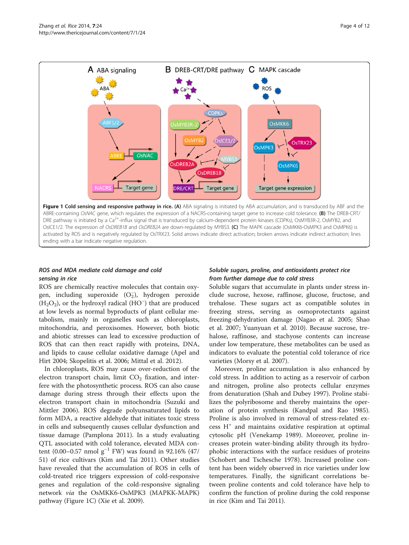<span id="page-3-0"></span>

# ROS and MDA mediate cold damage and cold sensing in rice

ROS are chemically reactive molecules that contain oxygen, including superoxide  $(O_2^-)$ , hydrogen peroxide (H2O2), or the hydroxyl radical (HO<sup>−</sup> ) that are produced at low levels as normal byproducts of plant cellular metabolism, mainly in organelles such as chloroplasts, mitochondria, and peroxisomes. However, both biotic and abiotic stresses can lead to excessive production of ROS that can then react rapidly with proteins, DNA, and lipids to cause cellular oxidative damage (Apel and Hirt [2004](#page-9-0); Skopelitis et al. [2006;](#page-11-0) Mittal et al. [2012\)](#page-10-0).

In chloroplasts, ROS may cause over-reduction of the electron transport chain, limit  $CO<sub>2</sub>$  fixation, and interfere with the photosynthetic process. ROS can also cause damage during stress through their effects upon the electron transport chain in mitochondria (Suzuki and Mittler [2006\)](#page-11-0). ROS degrade polyunsaturated lipids to form MDA, a reactive aldehyde that initiates toxic stress in cells and subsequently causes cellular dysfunction and tissue damage (Pamplona [2011](#page-10-0)). In a study evaluating QTL associated with cold tolerance, elevated MDA content (0.00–0.57 nmol  $g^{-1}$  FW) was found in 92.16% (47/ 51) of rice cultivars (Kim and Tai [2011](#page-10-0)). Other studies have revealed that the accumulation of ROS in cells of cold-treated rice triggers expression of cold-responsive genes and regulation of the cold-responsive signaling network via the OsMKK6-OsMPK3 (MAPKK-MAPK) pathway (Figure 1C) (Xie et al. [2009\)](#page-11-0).

# Soluble sugars, proline, and antioxidants protect rice from further damage due to cold stress

Soluble sugars that accumulate in plants under stress include sucrose, hexose, raffinose, glucose, fructose, and trehalose. These sugars act as compatible solutes in freezing stress, serving as osmoprotectants against freezing-dehydration damage (Nagao et al. [2005;](#page-10-0) Shao et al. [2007](#page-11-0); Yuanyuan et al. [2010](#page-11-0)). Because sucrose, trehalose, raffinose, and stachyose contents can increase under low temperature, these metabolites can be used as indicators to evaluate the potential cold tolerance of rice varieties (Morsy et al. [2007](#page-10-0)).

Moreover, proline accumulation is also enhanced by cold stress. In addition to acting as a reservoir of carbon and nitrogen, proline also protects cellular enzymes from denaturation (Shah and Dubey [1997\)](#page-11-0). Proline stabilizes the polyribosome and thereby maintains the operation of protein synthesis (Kandpal and Rao [1985](#page-10-0)). Proline is also involved in removal of stress-related ex- $\text{cess } H^+$  and maintains oxidative respiration at optimal cytosolic pH (Venekamp [1989\)](#page-11-0). Moreover, proline increases protein water-binding ability through its hydrophobic interactions with the surface residues of proteins (Schobert and Tschesche [1978\)](#page-11-0). Increased proline content has been widely observed in rice varieties under low temperatures. Finally, the significant correlations between proline contents and cold tolerance have help to confirm the function of proline during the cold response in rice (Kim and Tai [2011](#page-10-0)).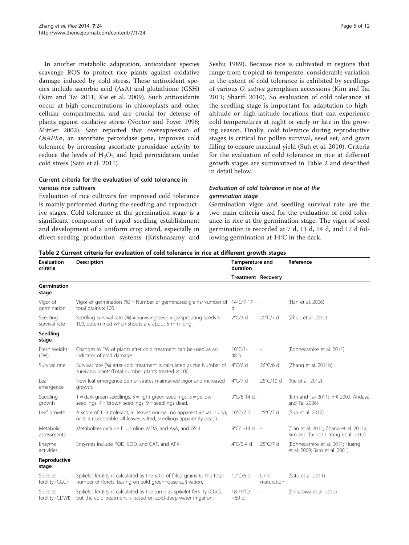In another metabolic adaptation, antioxidant species scavenge ROS to protect rice plants against oxidative damage induced by cold stress. These antioxidant species include ascorbic acid (AsA) and glutathione (GSH) (Kim and Tai [2011](#page-10-0); Xie et al. [2009\)](#page-11-0). Such antioxidants occur at high concentrations in chloroplasts and other cellular compartments, and are crucial for defense of plants against oxidative stress (Noctor and Foyer [1998](#page-10-0); Mittler [2002](#page-10-0)). Sato reported that overexpression of OsAPXa, an ascorbate peroxidase gene, improves cold tolerance by increasing ascorbate peroxidase activity to reduce the levels of  $H_2O_2$  and lipid peroxidation under cold stress (Sato et al. [2011](#page-11-0)).

#### Current criteria for the evaluation of cold tolerance in various rice cultivars

Evaluation of rice cultivars for improved cold tolerance is mainly performed during the seedling and reproductive stages. Cold tolerance at the germination stage is a significant component of rapid seedling establishment and development of a uniform crop stand, especially in direct-seeding production systems (Krishnasamy and Seshu [1989](#page-10-0)). Because rice is cultivated in regions that range from tropical to temperate, considerable variation in the extent of cold tolerance is exhibited by seedlings of various O. sativa germplasm accessions (Kim and Tai [2011;](#page-10-0) Sharifi [2010\)](#page-11-0). So evaluation of cold tolerance at the seedling stage is important for adaptation to highaltitude or high-latitude locations that can experience cold temperatures at night or early or late in the growing season. Finally, cold tolerance during reproductive stages is critical for pollen survival, seed set, and grain filling to ensure maximal yield (Suh et al. [2010\)](#page-11-0). Criteria for the evaluation of cold tolerance in rice at different growth stages are summarized in Table 2 and described in detail below.

# Evaluation of cold tolerance in rice at the germination stage

Germination vigor and seedling survival rate are the two main criteria used for the evaluation of cold tolerance in rice at the germination stage. The vigor of seed germination is recorded at 7 d, 11 d, 14 d, and 17 d following germination at 14°C in the dark.

|  |  | Table 2 Current criteria for evaluation of cold tolerance in rice at different growth stages |
|--|--|----------------------------------------------------------------------------------------------|
|--|--|----------------------------------------------------------------------------------------------|

| <b>Evaluation</b><br>criteria | <b>Description</b>                                                                                                                              | <b>Temperature and</b><br>duration |                          | Reference                                                                     |
|-------------------------------|-------------------------------------------------------------------------------------------------------------------------------------------------|------------------------------------|--------------------------|-------------------------------------------------------------------------------|
|                               |                                                                                                                                                 | <b>Treatment Recovery</b>          |                          |                                                                               |
| Germination<br>stage          |                                                                                                                                                 |                                    |                          |                                                                               |
| Vigor of<br>germination       | Vigor of germination $\frac{96}{9}$ = Number of germinated grains/Number of 14°C/7-17<br>total grains $\times$ 100                              | d                                  |                          | (Han et al. 2006)                                                             |
| Seedling<br>survival rate     | Seedling survival rate (%) = Surviving seedlings/Sprouting seeds $\times$<br>100, determined when shoots are about 5 mm long.                   | $2^{\circ}$ C/3 d                  | 20°C/7 d                 | (Zhou et al. 2012)                                                            |
| Seedling<br>stage             |                                                                                                                                                 |                                    |                          |                                                                               |
| Fresh weight<br>(FW)          | Changes in FW of plants after cold treatment can be used as an<br>indicator of cold damage.                                                     | $10^{\circ}$ C/1-<br>48 h          |                          | (Bonnecarrère et al. 2011)                                                    |
| Survival rate                 | Survival rate (%) after cold treatment is calculated as the Number of<br>surviving plants/Total number plants treated $\times$ 100              | $4^{\circ}$ C/6 d                  | 26°C/6 d                 | (Zhang et al. 2011b)                                                          |
| Leaf<br>emergence             | New leaf emergence demonstrates maintained vigor and increased<br>growth.                                                                       | $4^{\circ}$ C/7 d                  | 25°C/10 d                | (Xie et al. 2012)                                                             |
| Seedling<br>growth            | $1 =$ dark green seedlings, $3 =$ light green seedlings, $5 =$ yellow<br>seedlings, $7 =$ brown seedlings, $9 =$ seedlings dead.                | 9°C/8-14 d                         | $\overline{\phantom{a}}$ | (Kim and Tai 2011; IRRI 2002; Andaya<br>and Tai 2006)                         |
| Leaf growth                   | A score of 1–3 (tolerant, all leaves normal, no apparent visual injury),<br>or 4-9 (susceptible, all leaves wilted, seedlings apparently dead). | 10°C/7 d                           | 25°C/7 d                 | (Suh et al. 2012)                                                             |
| Metabolic<br>assessments      | Metabolites include EL, proline, MDA, and AsA, and GSH.                                                                                         | 9°C/1-14 d                         | $\sim$                   | (Tian et al. 2011; Zhang et al. 2011a;<br>Kim and Tai 2011; Yang et al. 2012) |
| Enzyme<br>activities          | Enzymes include POD, SOD, and CAT, and APX.                                                                                                     | $4^{\circ}$ C/0-4 d                | 25°C/7 d                 | (Bonnecarrère et al. 2011; Huang<br>et al. 2009; Sato et al. 2001)            |
| Reproductive<br>stage         |                                                                                                                                                 |                                    |                          |                                                                               |
| Spikelet<br>fertility (CGC)   | Spikelet fertility is calculated as the ratio of filled grains to the total<br>number of florets, basing on cold greenhouse cultivation.        | 12°C/6 d                           | Until<br>maturation      | (Sato et al. 2011)                                                            |
| Spikelet<br>fertility (CDWI)  | Spikelet fertility is calculated as the same as spikelet fertility (CGC),<br>but the cold treatment is based on cold deep-water irrigation.     | 18-19°C/<br>$~100$ d               |                          | (Shirasawa et al. 2012)                                                       |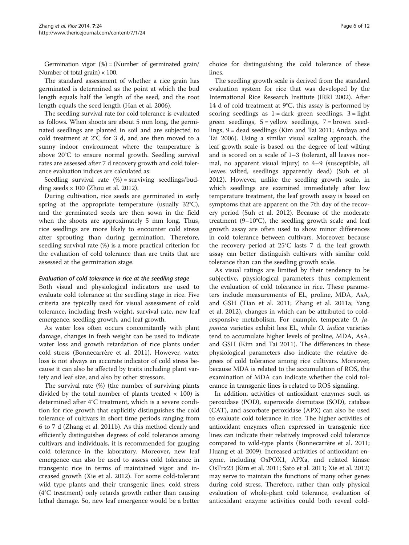Germination vigor  $(\%)$  = (Number of germinated grain/ Number of total grain)  $\times$  100.

The standard assessment of whether a rice grain has germinated is determined as the point at which the bud length equals half the length of the seed, and the root length equals the seed length (Han et al. [2006\)](#page-10-0).

The seedling survival rate for cold tolerance is evaluated as follows. When shoots are about 5 mm long, the germinated seedlings are planted in soil and are subjected to cold treatment at 2°C for 3 d, and are then moved to a sunny indoor environment where the temperature is above 20°C to ensure normal growth. Seedling survival rates are assessed after 7 d recovery growth and cold tolerance evaluation indices are calculated as:

Seedling survival rate  $(\%)$  = surviving seedlings/budding seeds  $\times$  100 (Zhou et al. [2012\)](#page-11-0).

During cultivation, rice seeds are germinated in early spring at the appropriate temperature (usually 32°C), and the germinated seeds are then sown in the field when the shoots are approximately 5 mm long. Thus, rice seedlings are more likely to encounter cold stress after sprouting than during germination. Therefore, seedling survival rate (%) is a more practical criterion for the evaluation of cold tolerance than are traits that are assessed at the germination stage.

#### Evaluation of cold tolerance in rice at the seedling stage

Both visual and physiological indicators are used to evaluate cold tolerance at the seedling stage in rice. Five criteria are typically used for visual assessment of cold tolerance, including fresh weight, survival rate, new leaf emergence, seedling growth, and leaf growth.

As water loss often occurs concomitantly with plant damage, changes in fresh weight can be used to indicate water loss and growth retardation of rice plants under cold stress (Bonnecarrère et al. [2011](#page-9-0)). However, water loss is not always an accurate indicator of cold stress because it can also be affected by traits including plant variety and leaf size, and also by other stressors.

The survival rate (%) (the number of surviving plants divided by the total number of plants treated  $\times$  100) is determined after 4°C treatment, which is a severe condition for rice growth that explicitly distinguishes the cold tolerance of cultivars in short time periods ranging from 6 to 7 d (Zhang et al. [2011b\)](#page-11-0). As this method clearly and efficiently distinguishes degrees of cold tolerance among cultivars and individuals, it is recommended for gauging cold tolerance in the laboratory. Moreover, new leaf emergence can also be used to assess cold tolerance in transgenic rice in terms of maintained vigor and increased growth (Xie et al. [2012\)](#page-11-0). For some cold-tolerant wild type plants and their transgenic lines, cold stress (4°C treatment) only retards growth rather than causing lethal damage. So, new leaf emergence would be a better

choice for distinguishing the cold tolerance of these lines.

The seedling growth scale is derived from the standard evaluation system for rice that was developed by the International Rice Research Institute (IRRI [2002](#page-10-0)). After 14 d of cold treatment at 9°C, this assay is performed by scoring seedlings as  $1 = \text{dark green seedlings}$ ,  $3 = \text{light}$ green seedlings, 5 = yellow seedlings, 7 = brown seedlings, 9 = dead seedlings (Kim and Tai [2011](#page-10-0); Andaya and Tai [2006\)](#page-9-0). Using a similar visual scaling approach, the leaf growth scale is based on the degree of leaf wilting and is scored on a scale of 1–3 (tolerant, all leaves normal, no apparent visual injury) to 4–9 (susceptible, all leaves wilted, seedlings apparently dead) (Suh et al. [2012](#page-11-0)). However, unlike the seedling growth scale, in which seedlings are examined immediately after low temperature treatment, the leaf growth assay is based on symptoms that are apparent on the 7th day of the recovery period (Suh et al. [2012](#page-11-0)). Because of the moderate treatment (9–10°C), the seedling growth scale and leaf growth assay are often used to show minor differences in cold tolerance between cultivars. Moreover, because the recovery period at 25°C lasts 7 d, the leaf growth assay can better distinguish cultivars with similar cold tolerance than can the seedling growth scale.

As visual ratings are limited by their tendency to be subjective, physiological parameters thus complement the evaluation of cold tolerance in rice. These parameters include measurements of EL, proline, MDA, AsA, and GSH (Tian et al. [2011;](#page-11-0) Zhang et al. [2011a;](#page-11-0) Yang et al. [2012\)](#page-11-0), changes in which can be attributed to coldresponsive metabolism. For example, temperate O. japonica varieties exhibit less EL, while O. indica varieties tend to accumulate higher levels of proline, MDA, AsA, and GSH (Kim and Tai [2011\)](#page-10-0). The differences in these physiological parameters also indicate the relative degrees of cold tolerance among rice cultivars. Moreover, because MDA is related to the accumulation of ROS, the examination of MDA can indicate whether the cold tolerance in transgenic lines is related to ROS signaling.

In addition, activities of antioxidant enzymes such as peroxidase (POD), superoxide dismutase (SOD), catalase (CAT), and ascorbate peroxidase (APX) can also be used to evaluate cold tolerance in rice. The higher activities of antioxidant enzymes often expressed in transgenic rice lines can indicate their relatively improved cold tolerance compared to wild-type plants (Bonnecarrère et al. [2011](#page-9-0); Huang et al. [2009](#page-10-0)). Increased activities of antioxidant enzyme, including OsPOX1, APXa, and related kinase OsTrx23 (Kim et al. [2011](#page-10-0); Sato et al. [2011](#page-11-0); Xie et al. [2012](#page-11-0)) may serve to maintain the functions of many other genes during cold stress. Therefore, rather than only physical evaluation of whole-plant cold tolerance, evaluation of antioxidant enzyme activities could both reveal cold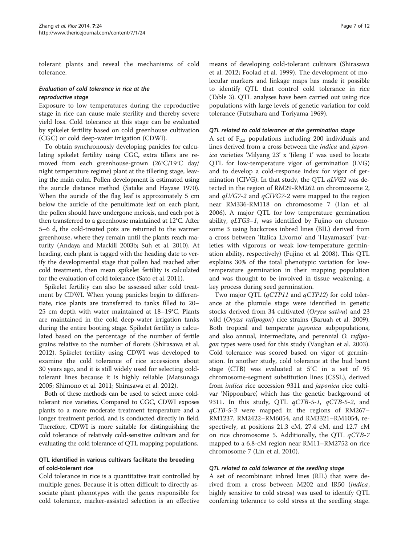tolerant plants and reveal the mechanisms of cold tolerance.

# Evaluation of cold tolerance in rice at the reproductive stage

Exposure to low temperatures during the reproductive stage in rice can cause male sterility and thereby severe yield loss. Cold tolerance at this stage can be evaluated by spikelet fertility based on cold greenhouse cultivation (CGC) or cold deep-water irrigation (CDWI).

To obtain synchronously developing panicles for calculating spikelet fertility using CGC, extra tillers are removed from each greenhouse-grown (26°C/19°C day/ night temperature regime) plant at the tillering stage, leaving the main culm. Pollen development is estimated using the auricle distance method (Satake and Hayase [1970](#page-11-0)). When the auricle of the flag leaf is approximately 5 cm below the auricle of the penultimate leaf on each plant, the pollen should have undergone meiosis, and each pot is then transferred to a greenhouse maintained at 12°C. After 5–6 d, the cold-treated pots are returned to the warmer greenhouse, where they remain until the plants reach maturity (Andaya and Mackill [2003b](#page-9-0); Suh et al. [2010\)](#page-11-0). At heading, each plant is tagged with the heading date to verify the developmental stage that pollen had reached after cold treatment, then mean spikelet fertility is calculated for the evaluation of cold tolerance (Sato et al. [2011\)](#page-11-0).

Spikelet fertility can also be assessed after cold treatment by CDWI. When young panicles begin to differentiate, rice plants are transferred to tanks filled to 20– 25 cm depth with water maintained at 18–19°C. Plants are maintained in the cold deep-water irrigation tanks during the entire booting stage. Spikelet fertility is calculated based on the percentage of the number of fertile grains relative to the number of florets (Shirasawa et al. [2012](#page-11-0)). Spikelet fertility using CDWI was developed to examine the cold tolerance of rice accessions about 30 years ago, and it is still widely used for selecting coldtolerant lines because it is highly reliable (Matsunaga [2005](#page-10-0); Shimono et al. [2011](#page-11-0); Shirasawa et al. [2012\)](#page-11-0).

Both of these methods can be used to select more coldtolerant rice varieties. Compared to CGC, CDWI exposes plants to a more moderate treatment temperature and a longer treatment period, and is conducted directly in field. Therefore, CDWI is more suitable for distinguishing the cold tolerance of relatively cold-sensitive cultivars and for evaluating the cold tolerance of QTL mapping populations.

# QTL identified in various cultivars facilitate the breeding of cold-tolerant rice

Cold tolerance in rice is a quantitative trait controlled by multiple genes. Because it is often difficult to directly associate plant phenotypes with the genes responsible for cold tolerance, marker-assisted selection is an effective

means of developing cold-tolerant cultivars (Shirasawa et al. [2012;](#page-11-0) Foolad et al. [1999\)](#page-10-0). The development of molecular markers and linkage maps has made it possible to identify QTL that control cold tolerance in rice (Table [3](#page-7-0)). QTL analyses have been carried out using rice populations with large levels of genetic variation for cold tolerance (Futsuhara and Toriyama [1969\)](#page-10-0).

#### QTL related to cold tolerance at the germination stage

A set of  $F_{2:3}$  populations including 200 individuals and lines derived from a cross between the indica and japonica varieties 'Milyang 23' x 'Jileng 1' was used to locate QTL for low-temperature vigor of germination (LVG) and to develop a cold-response index for vigor of germination (CIVG). In that study, the OTL  $qLVG2$  was detected in the region of RM29-RM262 on chromosome 2, and  $qLVG7-2$  and  $qCIVG7-2$  were mapped to the region near RM336-RM118 on chromosome 7 (Han et al. [2006](#page-10-0)). A major QTL for low temperature germination ability,  $qLTG3-1$ , was identified by Fujino on chromosome 3 using backcross inbred lines (BIL) derived from a cross between 'Italica Livorno' and 'Hayamasari' (varieties with vigorous or weak low-temperature germination ability, respectively) (Fujino et al. [2008\)](#page-10-0). This QTL explains 30% of the total phenotypic variation for lowtemperature germination in their mapping population and was thought to be involved in tissue weakening, a key process during seed germination.

Two major QTL  $(qCTP11$  and  $qCTP12$ ) for cold tolerance at the plumule stage were identified in genetic stocks derived from 34 cultivated (Oryza sativa) and 23 wild (Oryza rufipogon) rice strains (Baruah et al. [2009](#page-9-0)). Both tropical and temperate japonica subpopulations, and also annual, intermediate, and perennial O. rufipogon types were used for this study (Vaughan et al. [2003](#page-11-0)). Cold tolerance was scored based on vigor of germination. In another study, cold tolerance at the bud burst stage (CTB) was evaluated at 5°C in a set of 95 chromosome-segment substitution lines (CSSL), derived from indica rice accession 9311 and japonica rice cultivar 'Nipponbare', which has the genetic background of 9311. In this study, QTL  $qCTB-5-1$ ,  $qCTB-5-2$ , and  $qCTB-5-3$  were mapped in the regions of RM267– RM1237, RM2422–RM6054, and RM3321–RM1054, respectively, at positions 21.3 cM, 27.4 cM, and 12.7 cM on rice chromosome 5. Additionally, the QTL  $qCTB-7$ mapped to a 6.8-cM region near RM11–RM2752 on rice chromosome 7 (Lin et al. [2010\)](#page-10-0).

#### QTL related to cold tolerance at the seedling stage

A set of recombinant inbred lines (RIL) that were derived from a cross between M202 and IR50 (indica, highly sensitive to cold stress) was used to identify QTL conferring tolerance to cold stress at the seedling stage.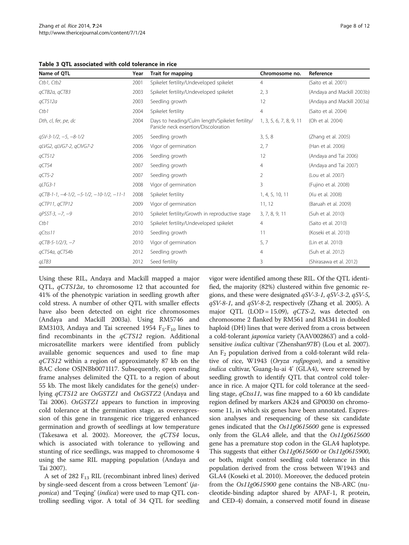<span id="page-7-0"></span>Table 3 QTL associated with cold tolerance in rice

| Name of OTL                                 | Year | Trait for mapping                                                                       | Chromosome no.          | Reference                  |
|---------------------------------------------|------|-----------------------------------------------------------------------------------------|-------------------------|----------------------------|
| Ctb1, Ctb2                                  | 2001 | Spikelet fertility/Undeveloped spikelet                                                 | 4                       | (Saito et al. 2001)        |
| qCTB2a, qCTB3                               | 2003 | Spikelet fertility/Undeveloped spikelet                                                 | 2, 3                    | (Andaya and Mackill 2003b) |
| qCTS12a                                     | 2003 | Seedling growth                                                                         | 12                      | (Andaya and Mackill 2003a) |
| Ctb1                                        | 2004 | Spikelet fertility                                                                      | 4                       | (Saito et al. 2004)        |
| Dth, cl, fer, pe, dc                        | 2004 | Days to heading/Culm length/Spikelet fertility/<br>Panicle neck exsertion/Discoloration | 1, 3, 5, 6, 7, 8, 9, 11 | (Oh et al. 2004)           |
| $qSV-3-1/2, -5, -8-1/2$                     | 2005 | Seedling growth                                                                         | 3, 5, 8                 | (Zhang et al. 2005)        |
| gLVG2, gLVG7-2, gCIVG7-2                    | 2006 | Vigor of germination                                                                    | 2, 7                    | (Han et al. 2006)          |
| qCTS12                                      | 2006 | Seedling growth                                                                         | 12                      | (Andaya and Tai 2006)      |
| qCTS4                                       | 2007 | Seedling growth                                                                         | 4                       | (Andaya and Tai 2007)      |
| $qCTS-2$                                    | 2007 | Seedling growth                                                                         | 2                       | (Lou et al. 2007)          |
| $qLTG3-1$                                   | 2008 | Vigor of germination                                                                    | 3                       | (Fujino et al. 2008)       |
| $q$ CTB-1-1, -4-1/2, -5-1/2, -10-1/2, -11-1 | 2008 | Spikelet fertility                                                                      | 1, 4, 5, 10, 11         | (Xu et al. 2008)           |
| $q$ CTP11, $q$ CTP12                        | 2009 | Vigor of germination                                                                    | 11, 12                  | (Baruah et al. 2009)       |
| $q$ PSST-3, $-7$ , $-9$                     | 2010 | Spikelet fertility/Growth in reproductive stage                                         | 3, 7, 8, 9, 11          | (Suh et al. 2010)          |
| Ctb1                                        | 2010 | Spikelet fertility/Undeveloped spikelet                                                 | 4                       | (Saito et al. 2010)        |
| qCtss11                                     | 2010 | Seedling growth                                                                         | 11                      | (Koseki et al. 2010)       |
| $q$ CTB-5-1/2/3, $-7$                       | 2010 | Vigor of germination                                                                    | 5, 7                    | (Lin et al. 2010)          |
| gCTS4a, gCTS4b                              | 2012 | Seedling growth                                                                         | 4                       | (Suh et al. 2012)          |
| qLTB3                                       | 2012 | Seed fertility                                                                          | 3                       | (Shirasawa et al. 2012)    |

Using these RIL, Andaya and Mackill mapped a major QTL, qCTS12a, to chromosome 12 that accounted for 41% of the phenotypic variation in seedling growth after cold stress. A number of other QTL with smaller effects have also been detected on eight rice chromosomes (Andaya and Mackill [2003a\)](#page-9-0). Using RM5746 and RM3103, Andaya and Tai screened 1954  $F_5-F_{10}$  lines to find recombinants in the  $qCTS12$  region. Additional microsatellite markers were identified from publicly available genomic sequences and used to fine map qCTS12 within a region of approximately 87 kb on the BAC clone OSJNBb0071I17. Subsequently, open reading frame analyses delimited the QTL to a region of about 55 kb. The most likely candidates for the gene(s) underlying qCTS12 are OsGSTZ1 and OsGSTZ2 (Andaya and Tai [2006\)](#page-9-0). OsGSTZ1 appears to function in improving cold tolerance at the germination stage, as overexpression of this gene in transgenic rice triggered enhanced germination and growth of seedlings at low temperature (Takesawa et al. [2002](#page-11-0)). Moreover, the  $qCTS4$  locus, which is associated with tolerance to yellowing and stunting of rice seedlings, was mapped to chromosome 4 using the same RIL mapping population (Andaya and Tai [2007\)](#page-9-0).

A set of 282  $F_{13}$  RIL (recombinant inbred lines) derived by single-seed descent from a cross between 'Lemont' (ja*ponica*) and 'Teqing' (*indica*) were used to map QTL controlling seedling vigor. A total of 34 QTL for seedling

vigor were identified among these RIL. Of the QTL identified, the majority (82%) clustered within five genomic regions, and these were designated  $qSV-3-1$ ,  $qSV-3-2$ ,  $qSV-5$ ,  $qSV-8-1$ , and  $qSV-8-2$ , respectively (Zhang et al. [2005\)](#page-11-0). A major QTL (LOD = 15.09),  $qCTS-2$ , was detected on chromosome 2 flanked by RM561 and RM341 in doubled haploid (DH) lines that were derived from a cross between a cold-tolerant japonica variety ('AAV002863') and a coldsensitive indica cultivar ('Zhenshan97B') (Lou et al. [2007](#page-10-0)). An  $F_2$  population derived from a cold-tolerant wild relative of rice, W1943 (Oryza rufipogon), and a sensitive indica cultivar, 'Guang-lu-ai 4' (GLA4), were screened by seedling growth to identify QTL that control cold tolerance in rice. A major QTL for cold tolerance at the seedling stage,  $qCtss11$ , was fine mapped to a 60 kb candidate region defined by markers AK24 and GP0030 on chromosome 11, in which six genes have been annotated. Expression analyses and resequencing of these six candidate genes indicated that the Os11g0615600 gene is expressed only from the GLA4 allele, and that the Os11g0615600 gene has a premature stop codon in the GLA4 haplotype. This suggests that either Os11g0615600 or Os11g0615900, or both, might control seedling cold tolerance in this population derived from the cross between W1943 and GLA4 (Koseki et al. [2010](#page-10-0)). Moreover, the deduced protein from the Os11g0615900 gene contains the NB-ARC (nucleotide-binding adaptor shared by APAF-1, R protein, and CED-4) domain, a conserved motif found in disease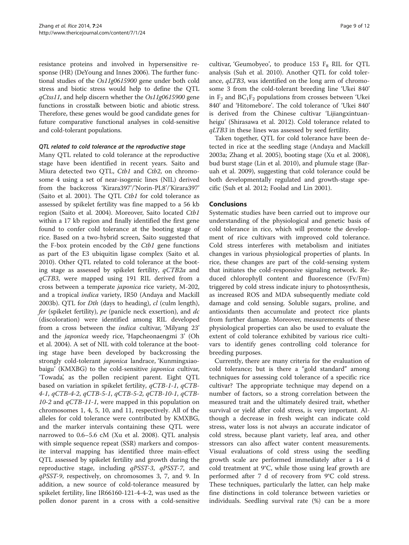resistance proteins and involved in hypersensitive response (HR) (DeYoung and Innes [2006\)](#page-10-0). The further functional studies of the Os11g0615900 gene under both cold stress and biotic stress would help to define the QTL qCtss11, and help discern whether the Os11g0615900 gene functions in crosstalk between biotic and abiotic stress. Therefore, these genes would be good candidate genes for future comparative functional analyses in cold-sensitive and cold-tolerant populations.

#### QTL related to cold tolerance at the reproductive stage

Many QTL related to cold tolerance at the reproductive stage have been identified in recent years. Saito and Miura detected two QTL, Ctb1 and Ctb2, on chromosome 4 using a set of near-isogenic lines (NIL) derived from the backcross 'Kirara397'/'Norin-PL8'/'Kirara397' (Saito et al. [2001](#page-11-0)). The OTL Ctb1 for cold tolerance as assessed by spikelet fertility was fine mapped to a 56 kb region (Saito et al. [2004\)](#page-11-0). Moreover, Saito located Ctb1 within a 17 kb region and finally identified the first gene found to confer cold tolerance at the booting stage of rice. Based on a two-hybrid screen, Saito suggested that the F-box protein encoded by the Ctb1 gene functions as part of the E3 ubiquitin ligase complex (Saito et al. [2010](#page-11-0)). Other QTL related to cold tolerance at the booting stage as assessed by spikelet fertility,  $qCTB2a$  and qCTB3, were mapped using 191 RIL derived from a cross between a temperate japonica rice variety, M-202, and a tropical indica variety, IR50 (Andaya and Mackill [2003b](#page-9-0)). QTL for Dth (days to heading), cl (culm length), fer (spikelet fertility), pe (panicle neck exsertion), and dc (discoloration) were identified among RIL developed from a cross between the indica cultivar, 'Milyang 23' and the japonica weedy rice, 'Hapcheonaengmi 3' (Oh et al. [2004\)](#page-10-0). A set of NIL with cold tolerance at the booting stage have been developed by backcrossing the strongly cold-tolerant *japonica* landrace, 'Kunmingxiaobaigu' (KMXBG) to the cold-sensitive japonica cultivar, 'Towada', as the pollen recipient parent. Eight QTL based on variation in spikelet fertility, qCTB-1-1, qCTB-4-1, qCTB-4-2, qCTB-5-1, qCTB-5-2, qCTB-10-1, qCTB-10-2 and  $qCTB-11-1$ , were mapped in this population on chromosomes 1, 4, 5, 10, and 11, respectively. All of the alleles for cold tolerance were contributed by KMXBG, and the marker intervals containing these QTL were narrowed to 0.6–5.6 cM (Xu et al. [2008](#page-11-0)). QTL analysis with simple sequence repeat (SSR) markers and composite interval mapping has identified three main-effect QTL assessed by spikelet fertility and growth during the reproductive stage, including  $qPST-3$ ,  $qP SST-7$ , and qPSST-9, respectively, on chromosomes 3, 7, and 9. In addition, a new source of cold-tolerance measured by spikelet fertility, line IR66160-121-4-4-2, was used as the pollen donor parent in a cross with a cold-sensitive

cultivar, 'Geumobyeo', to produce  $153 \text{ F}_8$  RIL for QTL analysis (Suh et al. [2010\)](#page-11-0). Another QTL for cold tolerance, qLTB3, was identified on the long arm of chromosome 3 from the cold-tolerant breeding line 'Ukei 840' in  $F_2$  and  $BC_1F_2$  populations from crosses between 'Ukei 840' and 'Hitomebore'. The cold tolerance of 'Ukei 840' is derived from the Chinese cultivar 'Lijiangxintuanheigu' (Shirasawa et al. [2012\)](#page-11-0). Cold tolerance related to qLTB3 in these lines was assessed by seed fertility.

Taken together, QTL for cold tolerance have been detected in rice at the seedling stage (Andaya and Mackill [2003a;](#page-9-0) Zhang et al. [2005\)](#page-11-0), booting stage (Xu et al. [2008](#page-11-0)), bud burst stage (Lin et al. [2010](#page-10-0)), and plumule stage (Baruah et al. [2009\)](#page-9-0), suggesting that cold tolerance could be both developmentally regulated and growth-stage specific (Suh et al. [2012](#page-11-0); Foolad and Lin [2001\)](#page-10-0).

# Conclusions

Systematic studies have been carried out to improve our understanding of the physiological and genetic basis of cold tolerance in rice, which will promote the development of rice cultivars with improved cold tolerance. Cold stress interferes with metabolism and initiates changes in various physiological properties of plants. In rice, these changes are part of the cold-sensing system that initiates the cold-responsive signaling network. Reduced chlorophyll content and fluorescence (Fv/Fm) triggered by cold stress indicate injury to photosynthesis, as increased ROS and MDA subsequently mediate cold damage and cold sensing. Soluble sugars, proline, and antioxidants then accumulate and protect rice plants from further damage. Moreover, measurements of these physiological properties can also be used to evaluate the extent of cold tolerance exhibited by various rice cultivars to identify genes controlling cold tolerance for breeding purposes.

Currently, there are many criteria for the evaluation of cold tolerance; but is there a "gold standard" among techniques for assessing cold tolerance of a specific rice cultivar? The appropriate technique may depend on a number of factors, so a strong correlation between the measured trait and the ultimately desired trait, whether survival or yield after cold stress, is very important. Although a decrease in fresh weight can indicate cold stress, water loss is not always an accurate indicator of cold stress, because plant variety, leaf area, and other stressors can also affect water content measurements. Visual evaluations of cold stress using the seedling growth scale are performed immediately after a 14 d cold treatment at 9°C, while those using leaf growth are performed after 7 d of recovery from 9°C cold stress. These techniques, particularly the latter, can help make fine distinctions in cold tolerance between varieties or individuals. Seedling survival rate (%) can be a more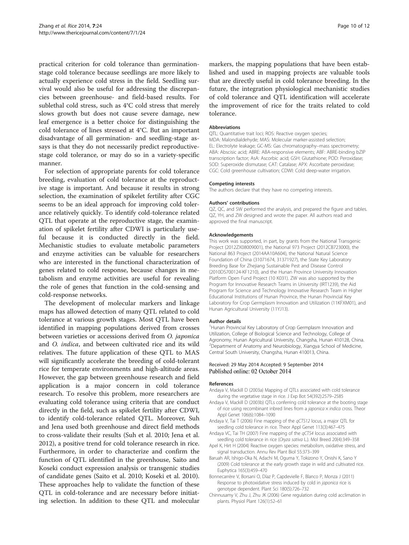<span id="page-9-0"></span>practical criterion for cold tolerance than germinationstage cold tolerance because seedlings are more likely to actually experience cold stress in the field. Seedling survival would also be useful for addressing the discrepancies between greenhouse- and field-based results. For sublethal cold stress, such as 4°C cold stress that merely slows growth but does not cause severe damage, new leaf emergence is a better choice for distinguishing the cold tolerance of lines stressed at 4°C. But an important disadvantage of all germination- and seedling-stage assays is that they do not necessarily predict reproductivestage cold tolerance, or may do so in a variety-specific manner.

For selection of appropriate parents for cold tolerance breeding, evaluation of cold tolerance at the reproductive stage is important. And because it results in strong selection, the examination of spikelet fertility after CGC seems to be an ideal approach for improving cold tolerance relatively quickly. To identify cold-tolerance related QTL that operate at the reproductive stage, the examination of spikelet fertility after CDWI is particularly useful because it is conducted directly in the field. Mechanistic studies to evaluate metabolic parameters and enzyme activities can be valuable for researchers who are interested in the functional characterization of genes related to cold response, because changes in metabolism and enzyme activities are useful for revealing the role of genes that function in the cold-sensing and cold-response networks.

The development of molecular markers and linkage maps has allowed detection of many QTL related to cold tolerance at various growth stages. Most QTL have been identified in mapping populations derived from crosses between varieties or accessions derived from O. japonica and O. indica, and between cultivated rice and its wild relatives. The future application of these QTL to MAS will significantly accelerate the breeding of cold-tolerant rice for temperate environments and high-altitude areas. However, the gap between greenhouse research and field application is a major concern in cold tolerance research. To resolve this problem, more researchers are evaluating cold tolerance using criteria that are conduct directly in the field, such as spikelet fertility after CDWI, to identify cold-tolerance related QTL. Moreover, Suh and Jena used both greenhouse and direct field methods to cross-validate their results (Suh et al. [2010;](#page-11-0) Jena et al. [2012](#page-10-0)), a positive trend for cold tolerance research in rice. Furthermore, in order to characterize and confirm the function of QTL identified in the greenhouse, Saito and Koseki conduct expression analysis or transgenic studies of candidate genes (Saito et al. [2010](#page-11-0); Koseki et al. [2010](#page-10-0)). These approaches help to validate the function of these QTL in cold-tolerance and are necessary before initiating selection. In addition to these QTL and molecular

markers, the mapping populations that have been established and used in mapping projects are valuable tools that are directly useful in cold tolerance breeding. In the future, the integration physiological mechanistic studies of cold tolerance and QTL identification will accelerate the improvement of rice for the traits related to cold tolerance.

#### Abbreviations

QTL: Quantitative trait loci; ROS: Reactive oxygen species; MDA: Malondialdehyde; MAS: Molecular marker-assisted selection; EL: Electrolyte leakage; GC-MS: Gas chromatography–mass spectrometry; ABA: Abscisic acid; ABRE: ABA-responsive elements; ABF: ABRE-binding bZIP transcription factor; AsA: Ascorbic acid; GSH: Glutathione; POD: Peroxidase; SOD: Superoxide dismutase; CAT: Catalase; APX: Ascorbate peroxidase; CGC: Cold greenhouse cultivation; CDWI: Cold deep-water irrigation.

#### Competing interests

The authors declare that they have no competing interests.

#### Authors' contributions

QZ, QC, and SW performed the analysis, and prepared the figure and tables. QZ, YH, and ZW designed and wrote the paper. All authors read and approved the final manuscript.

#### Acknowledgements

This work was supported, in part, by grants from the National Transgenic Project (2012ZX08009001), the National 973 Project (2012CB723000), the National 863 Project (2014AA10A604), the National Natural Science Foundation of China (31071674, 31371927), the State Key Laboratory Breeding Base for Zhejiang Sustainable Pest and Disease Control (2010DS700124-KF1210), and the Hunan Province University Innovation Platform Open Fund Project (10 K031). ZW was also supported by the Program for Innovative Research Teams in University (IRT1239), the Aid Program for Science and Technology Innovative Research Team in Higher Educational Institutions of Hunan Province, the Hunan Provincial Key Laboratory for Crop Germplasm Innovation and Utilization (11KFXM01), and Hunan Agricultural University (11YJ13).

#### Author details

<sup>1</sup>Hunan Provincial Key Laboratory of Crop Germplasm Innovation and Utilization, College of Biological Science and Technology, College of Agronomy, Hunan Agricultural University, Changsha, Hunan 410128, China. <sup>2</sup>Department of Anatomy and Neurobiology, Xiangya School of Medicine Central South University, Changsha, Hunan 410013, China.

#### Received: 29 May 2014 Accepted: 9 September 2014 Published online: 02 October 2014

#### References

- Andaya V, Mackill D (2003a) Mapping of QTLs associated with cold tolerance during the vegetative stage in rice. J Exp Bot 54(392):2579–2585
- Andaya V, Mackill D (2003b) QTLs conferring cold tolerance at the booting stage of rice using recombinant inbred lines from a japonica  $\times$  indica cross. Theor Appl Genet 106(6):1084–1090
- Andaya V, Tai T (2006) Fine mapping of the  $qCTS12$  locus, a major QTL for seedling cold tolerance in rice. Theor Appl Genet 113(3):467–475
- Andaya VC, Tai TH (2007) Fine mapping of the qCTS4 locus associated with seedling cold tolerance in rice (Oryza sativa L.). Mol Breed 20(4):349–358
- Apel K, Hirt H (2004) Reactive oxygen species: metabolism, oxidative stress, and signal transduction. Annu Rev Plant Biol 55:373–399
- Baruah AR, Ishigo-Oka N, Adachi M, Oguma Y, Tokizono Y, Onishi K, Sano Y (2009) Cold tolerance at the early growth stage in wild and cultivated rice. Euphytica 165(3):459–470
- Bonnecarrère V, Borsani O, Díaz P, Capdevielle F, Blanco P, Monza J (2011) Response to photoxidative stress induced by cold in japonica rice is genotype dependent. Plant Sci 180(5):726–732
- Chinnusamy V, Zhu J, Zhu JK (2006) Gene regulation during cold acclimation in plants. Physiol Plant 126(1):52–61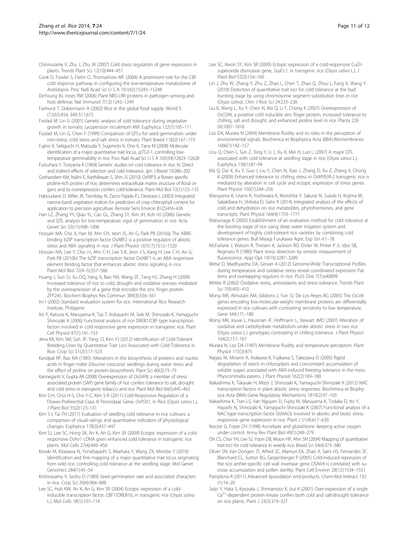- <span id="page-10-0"></span>Chinnusamy V, Zhu J, Zhu JK (2007) Cold stress regulation of gene expression in plants. Trends Plant Sci 12(10):444–451
- Cook D, Fowler S, Fiehn O, Thomashow MF (2004) A prominent role for the CBF cold response pathway in configuring the low-temperature metabolome of Arabidopsis. Proc Natl Acad Sci U S A 101(42):15243–15248
- DeYoung BJ, Innes RW (2006) Plant NBS-LRR proteins in pathogen sensing and host defense. Nat Immunol 7(12):1243–1249
- Fairhurst T, Dobermann A (2002) Rice in the global food supply. World 5 (7,502):454, 349-511,675
- Foolad M, Lin G (2001) Genetic analysis of cold tolerance during vegetative growth in tomato, Lycopersicon esculentum Mill. Euphytica 122(1):105–111
- Foolad M, Lin G, Chen F (1999) Comparison of QTLs for seed germination under non‐stress, cold stress and salt stress in tomato. Plant Breed 118(2):167–173
- Fujino K, Sekiguchi H, Matsuda Y, Sugimoto K, Ono K, Yano M (2008) Molecular identification of a major quantitative trait locus, qLTG3-1, controlling lowtemperature germinability in rice. Proc Natl Acad Sci U S A 105(34):12623–12628
- Futsuhara Y, Toriyama K (1969) Genetic studies on cool tolerance in rice. IV. Direct and indirect effects of selection and cold tolerance. Jpn J Breed 19:286-292
- Gothandam KM, Nalini E, Karthikeyan S, Shin JS (2010) OsPRP3, a flower specific proline-rich protein of rice, determines extracellular matrix structure of floral organs and its overexpression confers cold-tolerance. Plant Mol Biol 72(1):125–135
- Haboudane D, Miller JR, Tremblay N, Zarco-Tejada PJ, Dextraze L (2002) Integrated narrow-band vegetation indices for prediction of crop chlorophyll content for application to precision agriculture. Remote Sens Environ 81(2):416–426
- Han LZ, Zhang YY, Qiao YL, Cao GL, Zhang SY, Kim JH, Koh HJ (2006) Genetic and QTL analysis for low-temperature vigor of germination in rice. Acta Genet Sin 33(11):998–1006
- Hossain MA, Cho JI, Han M, Ahn CH, Jeon JS, An G, Park PB (2010a) The ABREbinding bZIP transcription factor OsABF2 is a positive regulator of abiotic stress and ABA signaling in rice. J Plant Physiol 167(17):1512–1520
- Hossain MA, Lee Y, Cho J-I, Ahn C-H, Lee S-K, Jeon J-S, Kang H, Lee C-H, An G, Park PB (2010b) The bZIP transcription factor OsABF1 is an ABA responsive element binding factor that enhances abiotic stress signaling in rice. Plant Mol Biol 72(4–5):557–566
- Huang J, Sun SJ, Xu DQ, Yang X, Bao YM, Wang ZF, Tang HJ, Zhang H (2009) Increased tolerance of rice to cold, drought and oxidative stresses mediated by the overexpression of a gene that encodes the zinc finger protein ZFP245. Biochem Biophys Res Commun 389(3):556–561
- Irri I (2002) Standard evaluation system for rice. International Rice Research Institute, Philippine
- Ito Y, Katsura K, Maruyama K, Taji T, Kobayashi M, Seki M, Shinozaki K, Yamaguchi-Shinozaki K (2006) Functional analysis of rice DREB1/CBF-type transcription factors involved in cold-responsive gene expression in transgenic rice. Plant Cell Physiol 47(1):141–153
- Jena KK, Kim SM, Suh JP, Yang CI, Kim YJ (2012) Identification of Cold-Tolerant Breeding Lines by Quantitative Trait Loci Associated with Cold Tolerance in Rice. Crop Sci 51(2):517–523
- Kandpal RP, Rao NA (1985) Alterations in the biosynthesis of proteins and nucleic acids in finger millet (Eleucine coracana) seedlings during water stress and the effect of proline on protein biosynthesis. Plant Sci 40(2):73–79
- Kanneganti V, Gupta AK (2008) Overexpression of OsiSAP8, a member of stress associated protein (SAP) gene family of rice confers tolerance to salt, drought and cold stress in transgenic tobacco and rice. Plant Mol Biol 66(5):445–462
- Kim S-H, Choi H-S, Cho Y-C, Kim S-R (2011) Cold-Responsive Regulation of a Flower-Preferential Class III Peroxidase Gene, OsPOX1, in Rice (Oryza sativa L.). J Plant Biol 55(2):123–131
- Kim S-I, Tai TH (2011) Evaluation of seedling cold tolerance in rice cultivars: a comparison of visual ratings and quantitative indicators of physiological changes. Euphytica 178(3):437–447
- Kim SJ, Lee SC, Hong SK, An K, An G, Kim SR (2009) Ectopic expression of a coldresponsive OsAsr1 cDNA gives enhanced cold tolerance in transgenic rice plants. Mol Cells 27(4):449–458
- Koseki M, Kitazawa N, Yonebayashi S, Maehara Y, Wang ZX, Minobe Y (2010) Identification and fine mapping of a major quantitative trait locus originating from wild rice, controlling cold tolerance at the seedling stage. Mol Genet Genomics 284(1):45–54
- Krishnasamy V, Seshu D (1989) Seed germination rate and associated characters in rice. Crop Sci 29(4):904–908
- Lee SC, Huh KW, An K, An G, Kim SR (2004) Ectopic expression of a coldinducible transcription factor, CBF1/DREB1b, in transgenic rice (Oryza sativa L.). Mol Cells 18(1):107–114
- Lee SC, Kwon SY, Kim SR (2009) Ectopic expression of a cold-responsive CuZn superoxide dismutase gene, SodCc1, in transgenic rice (Oryza sativa L.). J Plant Biol 52(2):154–160
- Lin J, Zhu W, Zhang Y, Zhu Z, Zhao L, Chen T, Zhao Q, Zhou L, Fang X, Wang Y (2010) Detection of quantitative trait loci for cold tolerance at the bud bursting stage by using chromosome segment substitution lines in rice (Oryza sativa). Chin J Rice Sci 24:233–236
- Liu K, Wang L, Xu Y, Chen N, Ma Q, Li F, Chong K (2007) Overexpression of OsCOIN, a putative cold inducible zinc finger protein, increased tolerance to chilling, salt and drought, and enhanced proline level in rice. Planta 226 (4):1007–1016
- Los DA, Murata N (2004) Membrane fluidity and its roles in the perception of environmental signals. Biochimica et Biophysica Acta (BBA)-Biomembranes 1666(1):142–157
- Lou Q, Chen L, Sun Z, Xing Y, Li J, Xu X, Mei H, Luo L (2007) A major QTL associated with cold tolerance at seedling stage in rice (Oryza sativa L.). Euphytica 158(1):87–94
- Ma Q, Dai X, Xu Y, Guo J, Liu Y, Chen N, Xiao J, Zhang D, Xu Z, Zhang X, Chong K (2009) Enhanced tolerance to chilling stress in OsMYB3R-2 transgenic rice is mediated by alteration in cell cycle and ectopic expression of stress genes. Plant Physiol 150(1):244–256
- Maruyama K, Urano K, Yoshiwara K, Morishita Y, Sakurai N, Suzuki H, Kojima M, Sakakibara H, Shibata D, Saito K (2014) Integrated analysis of the effects of cold and dehydration on rice metabolites, phytohormones, and gene transcripts. Plant Physiol 164(4):1759–1771
- Matsunaga K (2005) Establishment of an evaluation method for cold tolerance at the booting stage of rice using deep water irrigation system and development of highly cold-tolerant rice varieties by combining cold tolerance genes. Bull Miyagi Furukawa Agric Exp Stn 4:1–78
- McFarlane J, Watson R, Theisen A, Jackson RD, Ehrler W, Pinter P Jr, Idso SB, Reginato R (1980) Plant stress detection by remote measurement of fluorescence. Appl Opt 19(19):3287–3289
- Mittal D, Madhyastha DA, Grover A (2012) Genome-Wide Transcriptional Profiles during temperature and oxidative stress reveal coordinated expression Patterns and overlapping regulons in rice. PLoS One 7(7):e40899
- Mittler R (2002) Oxidative stress, antioxidants and stress tolerance. Trends Plant Sci 7(9):405–410
- Morsy MR, Almutairi AM, Gibbons J, Yun SJ, De Los Reyes BG (2005) The OsLti6 genes encoding low-molecular-weight membrane proteins are differentially expressed in rice cultivars with contrasting sensitivity to low temperature. Gene 344:171–180
- Morsy MR, Jouve L, Hausman JF, Hoffmann L, Stewart JMD (2007) Alteration of oxidative and carbohydrate metabolism under abiotic stress in two rice (Oryza sativa L.) genotypes contrasting in chilling tolerance. J Plant Physiol 164(2):157–167
- Murata N, Los DA (1997) Membrane fluidity and temperature perception. Plant Physiol 115(3):875
- Nagao M, Minami A, Arakawa K, Fujikawa S, Takezawa D (2005) Rapid degradation of starch in chloroplasts and concomitant accumulation of soluble sugars associated with ABA-induced freezing tolerance in the moss Physcomitrella patens. J Plant Physiol 162(2):169–180
- Nakashima K, Takasaki H, Mizoi J, Shinozaki K, Yamaguchi-Shinozaki K (2012) NAC transcription factors in plant abiotic stress responses. Biochimica et Biophysica Acta (BBA)-Gene Regulatory Mechanisms 1819(2):97–103
- Nakashima K, Tran LS, Van Nguyen D, Fujita M, Maruyama K, Todaka D, Ito Y, Hayashi N, Shinozaki K, Yamaguchi-Shinozaki K (2007) Functional analysis of a NAC-type transcription factor OsNAC6 involved in abiotic and biotic stressresponsive gene expression in rice. Plant J 51(4):617–630
- Noctor G, Foyer CH (1998) Ascorbate and glutathione: keeping active oxygen under control. Annu Rev Plant Biol 49(1):249–279
- Oh CS, Choi YH, Lee SJ, Yoon DB, Moon HP, Ahn SN (2004) Mapping of quantitative trait loci for cold tolerance in weedy rice. Breed Sci 54(4):373–380
- Oliver SN, Van Dongen JT, Alfred SC, Mamun EA, Zhao X, Saini HS, Fernandes SF, Blanchard CL, Sutton BG, Geigenberger P (2005) Cold‐induced repression of the rice anther-specific cell wall invertase gene OSINV4 is correlated with sucrose accumulation and pollen sterility. Plant Cell Environ 28(12):1534–1551
- Pamplona R (2011) Advanced lipoxidation end-products. Chem-Biol Interact 192  $(1):14-20$
- Saijo Y, Hata S, Kyozuka J, Shimamoto K, Izui K (2001) Over-expression of a single  $Ca<sup>2+</sup>$ -dependent protein kinase confers both cold and salt/drought tolerance on rice plants. Plant J 23(3):319–327